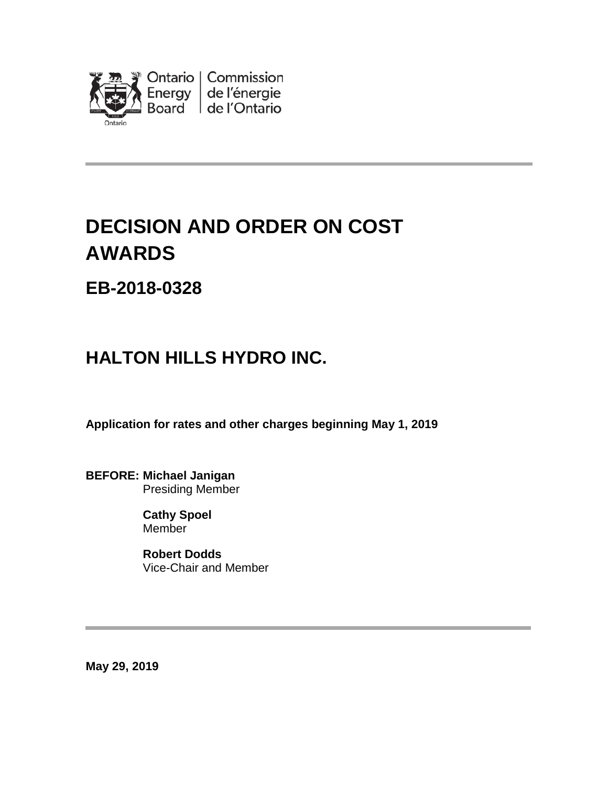

# **DECISION AND ORDER ON COST AWARDS**

### **EB-2018-0328**

## **HALTON HILLS HYDRO INC.**

**Application for rates and other charges beginning May 1, 2019**

**BEFORE: Michael Janigan** Presiding Member

> **Cathy Spoel Member**

**Robert Dodds** Vice-Chair and Member

**May 29, 2019**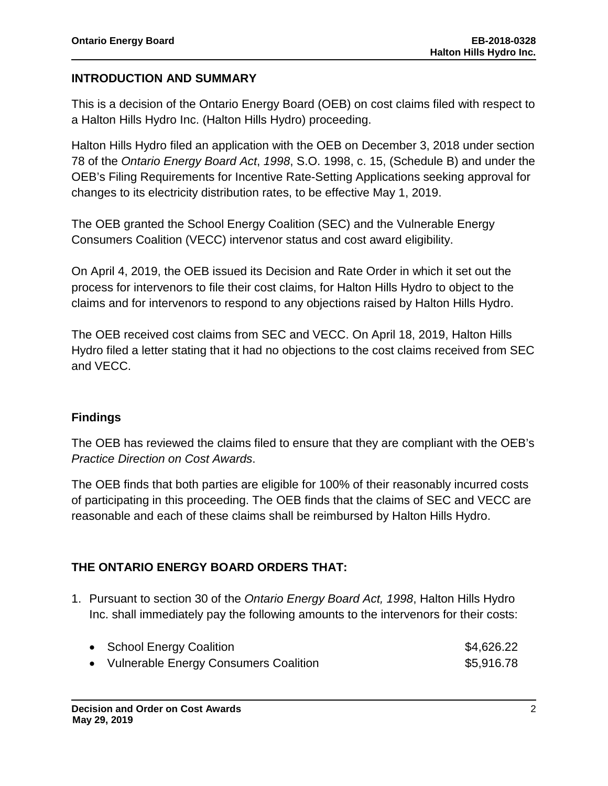#### **INTRODUCTION AND SUMMARY**

This is a decision of the Ontario Energy Board (OEB) on cost claims filed with respect to a Halton Hills Hydro Inc. (Halton Hills Hydro) proceeding.

Halton Hills Hydro filed an application with the OEB on December 3, 2018 under section 78 of the *Ontario Energy Board Act*, *1998*, S.O. 1998, c. 15, (Schedule B) and under the OEB's Filing Requirements for Incentive Rate-Setting Applications seeking approval for changes to its electricity distribution rates, to be effective May 1, 2019.

The OEB granted the School Energy Coalition (SEC) and the Vulnerable Energy Consumers Coalition (VECC) intervenor status and cost award eligibility.

On April 4, 2019, the OEB issued its Decision and Rate Order in which it set out the process for intervenors to file their cost claims, for Halton Hills Hydro to object to the claims and for intervenors to respond to any objections raised by Halton Hills Hydro.

The OEB received cost claims from SEC and VECC. On April 18, 2019, Halton Hills Hydro filed a letter stating that it had no objections to the cost claims received from SEC and VECC.

#### **Findings**

The OEB has reviewed the claims filed to ensure that they are compliant with the OEB's *Practice Direction on Cost Awards*.

The OEB finds that both parties are eligible for 100% of their reasonably incurred costs of participating in this proceeding. The OEB finds that the claims of SEC and VECC are reasonable and each of these claims shall be reimbursed by Halton Hills Hydro.

#### **THE ONTARIO ENERGY BOARD ORDERS THAT:**

1. Pursuant to section 30 of the *Ontario Energy Board Act, 1998*, Halton Hills Hydro Inc. shall immediately pay the following amounts to the intervenors for their costs:

| • School Energy Coalition               | \$4,626.22 |
|-----------------------------------------|------------|
| • Vulnerable Energy Consumers Coalition | \$5,916.78 |